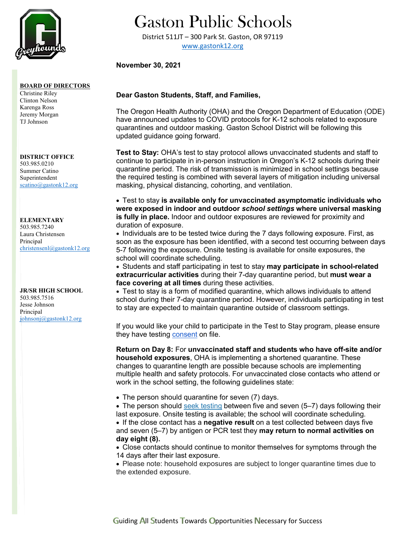

### **BOARD OF DIRECTORS**

Christine Riley Clinton Nelson Karenga Ross Jeremy Morgan TJ Johnson

#### **DISTRICT OFFICE** 503.985.0210 Summer Catino

Superintendent [scatino@gastonk12.org](mailto:scatino@gastonk12.org)

## **ELEMENTARY**

503.985.7240 Laura Christensen Principal [christensenl@gastonk12.org](mailto:christensenl@gastonk12.org)

### **JR/SR HIGH SCHOOL** 503.985.7516 Jesse Johnson

Principal [johnsonj@gastonk12.org](mailto:johnsonj@gastonk12.org)

# Gaston Public Schools

District 511JT – 300 Park St. Gaston, OR 97119 [www.gastonk12.org](http://www.gastonk12.org/)

## **November 30, 2021**

## **Dear Gaston Students, Staff, and Families,**

The Oregon Health Authority (OHA) and the Oregon Department of Education (ODE) have announced updates to COVID protocols for K-12 schools related to exposure quarantines and outdoor masking. Gaston School District will be following this updated guidance going forward.

**Test to Stay:** OHA's test to stay protocol allows unvaccinated students and staff to continue to participate in in-person instruction in Oregon's K-12 schools during their quarantine period. The risk of transmission is minimized in school settings because the required testing is combined with several layers of mitigation including universal masking, physical distancing, cohorting, and ventilation.

• Test to stay **is available only for unvaccinated asymptomatic individuals who were exposed in indoor and outdoor** *school settings* **where universal masking is fully in place.** Indoor and outdoor exposures are reviewed for proximity and duration of exposure.

• Individuals are to be tested twice during the 7 days following exposure. First, as soon as the exposure has been identified, with a second test occurring between days 5-7 following the exposure. Onsite testing is available for onsite exposures, the school will coordinate scheduling.

• Students and staff participating in test to stay **may participate in school-related extracurricular activities** during their 7-day quarantine period, but **must wear a face covering at all times** during these activities.

• Test to stay is a form of modified quarantine, which allows individuals to attend school during their 7-day quarantine period. However, individuals participating in test to stay are expected to maintain quarantine outside of classroom settings.

If you would like your child to participate in the Test to Stay program, please ensure they have testing [consent](https://sharedsystems.dhsoha.state.or.us/DHSForms/Served/le3560e.pdf?utm_medium=email&utm_source=govdelivery) on file.

**Return on Day 8:** For **unvaccinated staff and students who have off-site and/or household exposures**, OHA is implementing a shortened quarantine. These changes to quarantine length are possible because schools are implementing multiple health and safety protocols. For unvaccinated close contacts who attend or work in the school setting, the following guidelines state:

• The person should quarantine for seven (7) days.

• The person should [seek testing](https://lnks.gd/l/eyJhbGciOiJIUzI1NiJ9.eyJidWxsZXRpbl9saW5rX2lkIjoxMDMsInVyaSI6ImJwMjpjbGljayIsImJ1bGxldGluX2lkIjoiMjAyMTExMTkuNDkxMjA0NjEiLCJ1cmwiOiJodHRwczovL2dvdnN0YXR1cy5lZ292LmNvbS9vci1vaGEtY292aWQtMTktdGVzdGluZz91dG1fbWVkaXVtPWVtYWlsJnV0bV9zb3VyY2U9Z292ZGVsaXZlcnkifQ.3rjqiR7YrIsUeKWes5OELiQaDwFlj4vnS4LqXG76T1o/s/979389445/br/121384757341-l) between five and seven (5–7) days following their last exposure. Onsite testing is available; the school will coordinate scheduling.

• If the close contact has a **negative result** on a test collected between days five and seven (5–7) by antigen or PCR test they **may return to normal activities on day eight (8).**

• Close contacts should continue to monitor themselves for symptoms through the 14 days after their last exposure.

• Please note: household exposures are subject to longer quarantine times due to the extended exposure.